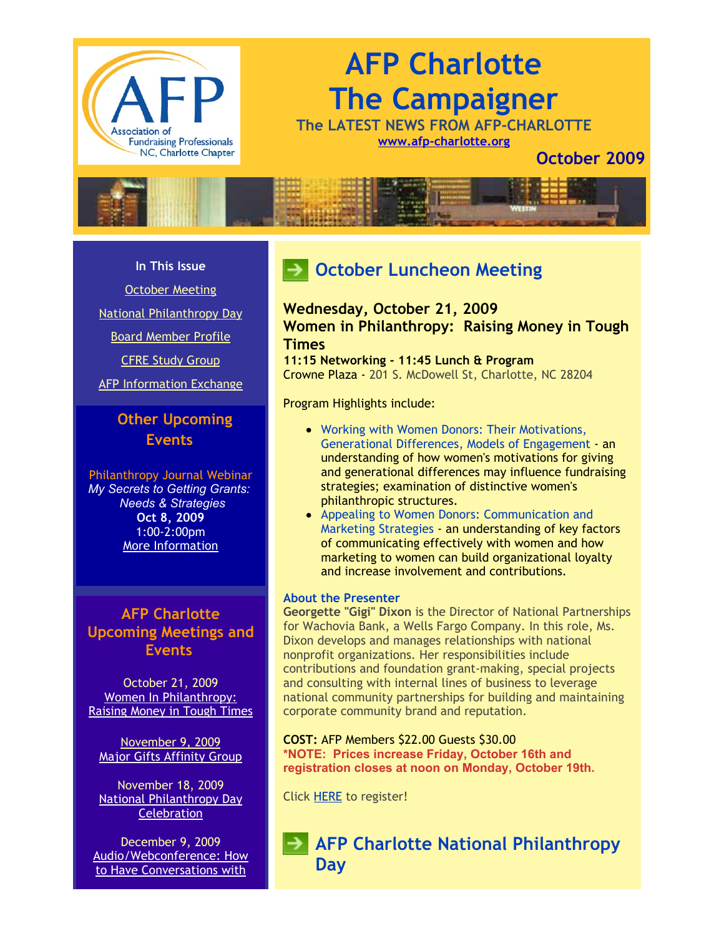

# **AFP Charlotte The Campaigner**

**The LATEST NEWS FROM AFP-CHARLOTTE [www.afp-charlotte.org](http://www.afp-charlotte.org/)**

**October 2009**



#### **In This Issue**

[October Meeting](http://archive.constantcontact.com/fs051/1101610725496/archive/1102733972905.html#LETTER.BLOCK24)

[National Philanthropy Day](http://archive.constantcontact.com/fs051/1101610725496/archive/1102733972905.html#LETTER.BLOCK12)

[Board Member Profile](http://archive.constantcontact.com/fs051/1101610725496/archive/1102733972905.html#LETTER.BLOCK17)

[CFRE Study Group](http://archive.constantcontact.com/fs051/1101610725496/archive/1102733972905.html#LETTER.BLOCK21)

[AFP Information Exchange](http://archive.constantcontact.com/fs051/1101610725496/archive/1102733972905.html#LETTER.BLOCK28)

## **Other Upcoming Events**

Philanthropy Journal Webinar *My Secrets to Getting Grants: Needs & Strategies* **Oct 8, 2009** 1:00-2:00pm [More Information](https://www.philanthropyjournal.org/civicrm/event/info?reset=1&id=45)

**AFP Charlotte Upcoming Meetings and Events**

October 21, 2009 Women In Philanthropy: [Raising Money in Tough Times](http://www.afp-charlotte.org/rsvp_details.html?id=2224)

[November 9, 2009](http://www.afp-charlotte.org/rsvp_details.html?id=2224) [Major Gifts Affinity Group](http://www.afp-charlotte.org/rsvp_details.html?id=2566)

November 18, 2009 [National Philanthropy Day](http://www.afp-charlotte.org/nationalphilanthropyday.html) **Celebration** 

December 9, 2009 [Audio/Webconference: How](http://www.afp-charlotte.org/rsvp_details.html?id=2225) to Have Conversations with

# **October Luncheon Meeting**

## **Wednesday, October 21, 2009 Women in Philanthropy: Raising Money in Tough Times**

**11:15 Networking - 11:45 Lunch & Program** Crowne Plaza - 201 S. McDowell St, Charlotte, NC 28204

Program Highlights include:

- Working with Women Donors: Their Motivations, Generational Differences, Models of Engagement an understanding of how women's motivations for giving and generational differences may influence fundraising strategies; examination of distinctive women's philanthropic structures.
- Appealing to Women Donors: Communication and Marketing Strategies an understanding of key factors of communicating effectively with women and how marketing to women can build organizational loyalty and increase involvement and contributions.

#### **About the Presenter**

**Georgette "Gigi" Dixon** is the Director of National Partnerships for Wachovia Bank, a Wells Fargo Company. In this role, Ms. Dixon develops and manages relationships with national nonprofit organizations. Her responsibilities include contributions and foundation grant-making, special projects and consulting with internal lines of business to leverage national community partnerships for building and maintaining corporate community brand and reputation.

**COST:** AFP Members \$22.00 Guests \$30.00 **\*NOTE: Prices increase Friday, October 16th and registration closes at noon on Monday, October 19th.**

Click [HERE](http://www.afp-charlotte.org/rsvp_details.html?id=2224) to register!

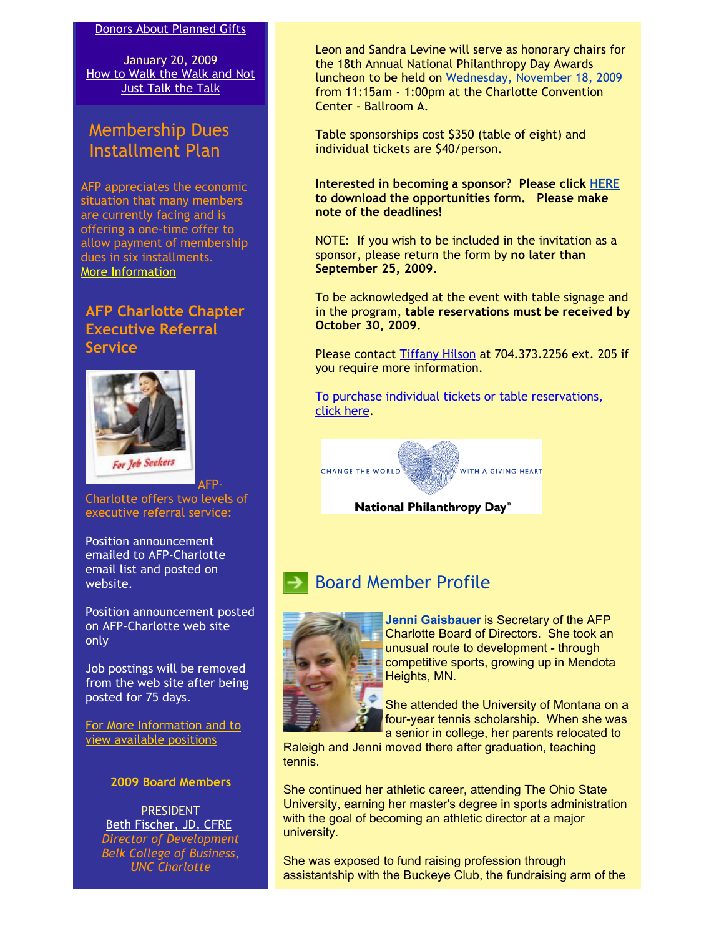#### [Donors About Planned Gifts](http://www.afp-charlotte.org/rsvp_details.html?id=2225)

January 20, 2009 [How to Walk the Walk and Not](http://www.afp-charlotte.org/rsvp_details.html?id=2619) Just Talk the Talk

## Membership Dues Installment Plan

AFP appreciates the economic situation that many members are currently facing and is offering a one-time offer to allow payment of membership dues in six installments. [More Information](http://www.afp-charlotte.org/customers/102012921065393/filemanager/MEMBERSHIP_INSTALLMENT_PLAN.pdf)

### **AFP Charlotte Chapter Executive Referral Service**



Charlotte offers two levels of executive referral service:

AFP-

Position announcement emailed to AFP-Charlotte email list and posted on website.

Position announcement posted on AFP-Charlotte web site only

Job postings will be removed from the web site after being posted for 75 days.

[For More Information and to](http://www.afp-charlotte.org/executivereferrals.html) view available positions

#### **2009 Board Members**

**PRESIDENT** [Beth Fischer, JD, CFRE](mailto:beth.fischer@uncc.edu) *Director of Development Belk College of Business, UNC Charlotte*

Leon and Sandra Levine will serve as honorary chairs for the 18th Annual National Philanthropy Day Awards luncheon to be held on Wednesday, November 18, 2009 from 11:15am - 1:00pm at the Charlotte Convention Center - Ballroom A.

Table sponsorships cost \$350 (table of eight) and individual tickets are \$40/person.

**Interested in becoming a sponsor? Please click [HERE](http://www.afp-charlotte.org/customers/102012921065393/filemanager/2009_NPD_Sponsorship_Form.pdf) to download the opportunities form. Please make note of the deadlines!**

NOTE: If you wish to be included in the invitation as a sponsor, please return the form by **no later than September 25, 2009**.

To be acknowledged at the event with table signage and in the program, **table reservations must be received by October 30, 2009.** 

Please contact [Tiffany Hilson](mailto:thilson@urbanleaguecc.org) at 704.373.2256 ext. 205 if you require more information.

[To purchase individual tickets or table reservations,](http://afp-charlotte.org/rsvp_details.html?id=2526) click here.



National Philanthropy Day®

# Board Member Profile



**Jenni Gaisbauer** is Secretary of the AFP Charlotte Board of Directors. She took an unusual route to development - through competitive sports, growing up in Mendota Heights, MN.

She attended the University of Montana on a four-year tennis scholarship. When she was a senior in college, her parents relocated to

Raleigh and Jenni moved there after graduation, teaching tennis.

She continued her athletic career, attending The Ohio State University, earning her master's degree in sports administration with the goal of becoming an athletic director at a major university.

She was exposed to fund raising profession through assistantship with the Buckeye Club, the fundraising arm of the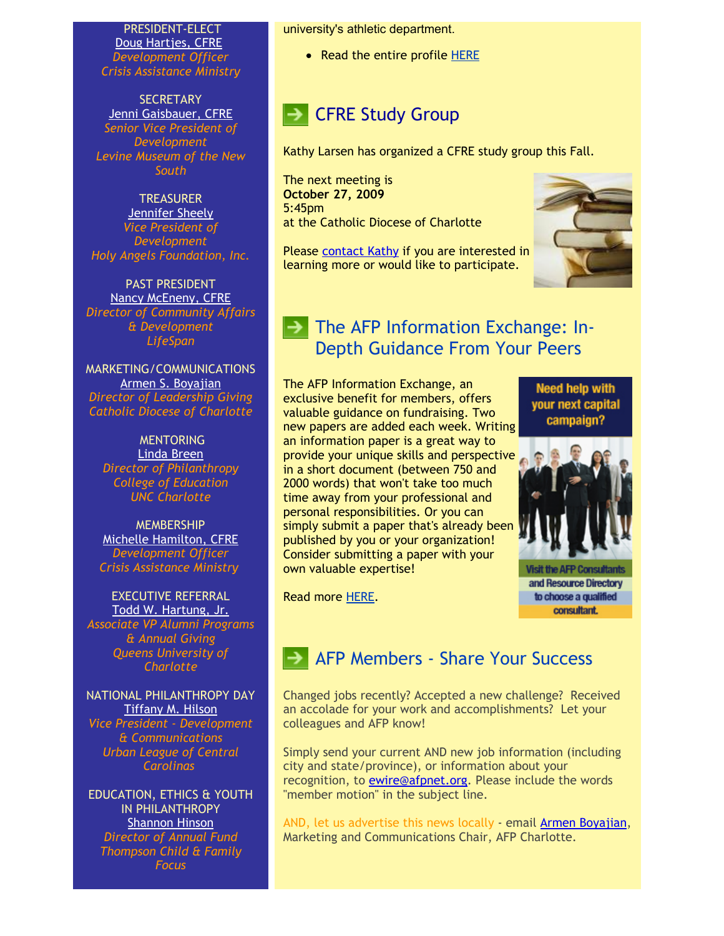PRESIDENT-ELECT [Doug Hartjes, CFRE](mailto:dhartjes@crisisassistance.org) *Development Officer Crisis Assistance Ministry*

**SECRETARY** [Jenni Gaisbauer, CFRE](mailto:jgaisbauer@museumofthenewsouth.org) *Senior Vice President of Development Levine Museum of the New South*

**TREASURER [Jennifer Sheely](mailto:jennifers@holyangelsnc.org)** *Vice President of Development Holy Angels Foundation, Inc.*

PAST PRESIDENT [Nancy McEneny, CFRE](mailto:nmceneny@lifespanservices.org) *Director of Community Affairs & Development LifeSpan*

MARKETING/COMMUNICATIONS [Armen S. Boyajian](mailto:asboyajian@charlottediocese.org) *Director of Leadership Giving Catholic Diocese of Charlotte*

**MENTORING** [Linda Breen](mailto:lbreen@uncc.edu) *Director of Philanthropy College of Education UNC Charlotte*

**MEMBERSHIP** [Michelle Hamilton, CFRE](mailto:mhamilton@crisisassistance.org) *Development Officer Crisis Assistance Ministry*

EXECUTIVE REFERRAL [Todd W. Hartung, Jr.](mailto:Hartungt@queens.edu) *Associate VP Alumni Programs & Annual Giving Queens University of*

*Charlotte*

NATIONAL PHILANTHROPY DAY [Tiffany M. Hilson](mailto:thilson@urbanleaguecc.org) *Vice President - Development & Communications Urban League of Central Carolinas*

EDUCATION, ETHICS & YOUTH IN PHII ANTHROPY [Shannon Hinson](mailto:shinson@thompsoncff.org) *Director of Annual Fund*

*Thompson Child & Family Focus*

university's athletic department.

• Read the entire profile [HERE](http://www.afp-charlotte.org/customers/102012921065393/filemanager/Bd_Profile_Gaisbauer.pdf)

# **BEARGIVE Study Group**

Kathy Larsen has organized a CFRE study group this Fall.

The next meeting is **October 27, 2009** 5:45pm at the Catholic Diocese of Charlotte

Please [contact Kathy](mailto:Kathy.Larson@uncc.edu) if you are interested in learning more or would like to participate.



## $\blacktriangleright$  The AFP Information Exchange: In-Depth Guidance From Your Peers

The AFP Information Exchange, an exclusive benefit for members, offers valuable guidance on fundraising. Two new papers are added each week. Writing an information paper is a great way to provide your unique skills and perspective in a short document (between 750 and 2000 words) that won't take too much time away from your professional and personal responsibilities. Or you can simply submit a paper that's already been published by you or your organization! Consider submitting a paper with your own valuable expertise!

**Need help with** vour next capital campaign?



Visit the AFP Consultar and Resource Directory to choose a qualified consultant.

Read more [HERE.](http://www.afpnet.org/ResourceCenter/ArticleDetail.cfm?PreviewContentItem=9719)

# AFP Members - Share Your Success

Changed jobs recently? Accepted a new challenge? Received an accolade for your work and accomplishments? Let your colleagues and AFP know!

Simply send your current AND new job information (including city and state/province), or information about your recognition, to [ewire@afpnet.org.](mailto:ewire@afpnet.org) Please include the words "member motion" in the subject line.

AND, let us advertise this news locally - email [Armen Boyajian,](mailto:asboyajian@charlottediocese.org) Marketing and Communications Chair, AFP Charlotte.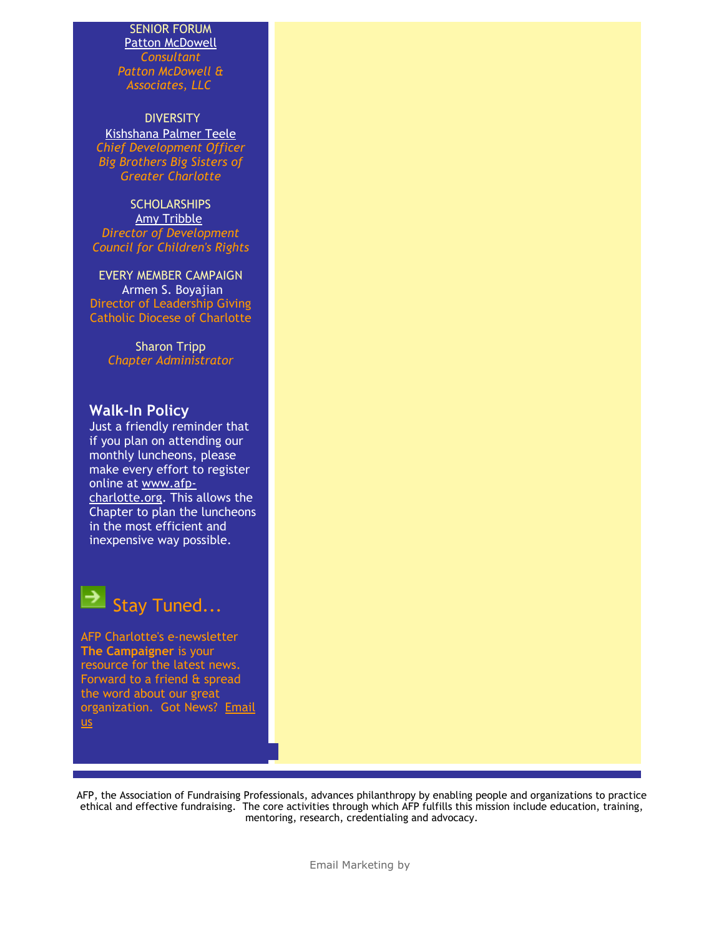#### SENIOR FORUM [Patton McDowell](mailto:PM@pattonmcdowell.com) *Consultant Patton McDowell & Associates, LLC*

**DIVERSITY** [Kishshana Palmer Teele](mailto:kishshana.teele@gmail.com) *Chief Development Officer Big Brothers Big Sisters of Greater Charlotte*

**SCHOLARSHIPS** [Amy Tribble](mailto:amy@cfcrights.org) *Director of Development Council for Children's Rights*

EVERY MEMBER CAMPAIGN Armen S. Boyajian Director of Leadership Giving Catholic Diocese of Charlotte

> Sharon Tripp *Chapter Administrator*

## **Walk-In Policy**

Just a friendly reminder that if you plan on attending our monthly luncheons, please make every effort to register online at www.afp[charlotte.org. This a](http://www.afp-charlotte.org/)llows the Chapter to plan the luncheons in the most efficient and inexpensive way possible.

Stay Tuned...

AFP Charlotte's e-newsletter **The Campaigner** is your resource for the latest news. Forward to a friend & spread the word about our great [organization. Got News? Email](mailto:info@afp-charlotte.org) us

AFP, the Association of Fundraising Professionals, advances philanthropy by enabling people and organizations to practice ethical and effective fundraising. The core activities through which AFP fulfills this mission include education, training, mentoring, research, credentialing and advocacy.